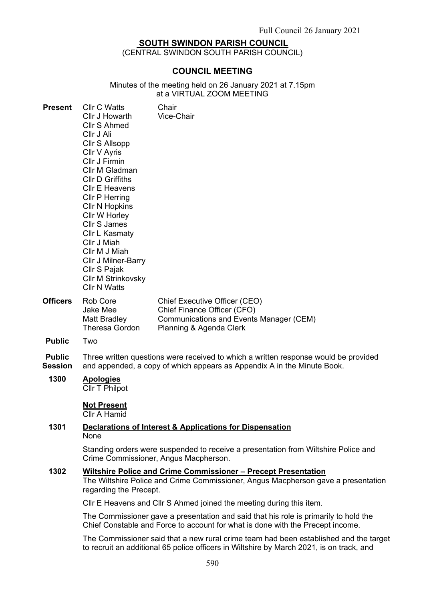## **SOUTH SWINDON PARISH COUNCIL**

(CENTRAL SWINDON SOUTH PARISH COUNCIL)

# **COUNCIL MEETING**

Minutes of the meeting held on 26 January 2021 at 7.15pm at a VIRTUAL ZOOM MEETING

| <b>Present</b>                  | <b>CIIr C Watts</b><br>Cllr J Howarth<br><b>Cllr S Ahmed</b><br>Cllr J Ali<br>Cllr S Allsopp<br>Cllr V Ayris<br>Cllr J Firmin<br>Cllr M Gladman<br><b>CIIr D Griffiths</b><br><b>CIIr E Heavens</b><br><b>Cllr P Herring</b><br><b>CIIr N Hopkins</b><br>Cllr W Horley<br><b>Cllr S James</b><br>Cllr L Kasmaty<br>Cllr J Miah<br>Cllr M J Miah<br>Cllr J Milner-Barry<br>Cllr S Pajak<br>Cllr M Strinkovsky<br><b>Cllr N Watts</b> | Chair<br>Vice-Chair                                                                                                                       |
|---------------------------------|-------------------------------------------------------------------------------------------------------------------------------------------------------------------------------------------------------------------------------------------------------------------------------------------------------------------------------------------------------------------------------------------------------------------------------------|-------------------------------------------------------------------------------------------------------------------------------------------|
| <b>Officers</b>                 | <b>Rob Core</b><br>Jake Mee<br><b>Matt Bradley</b><br><b>Theresa Gordon</b>                                                                                                                                                                                                                                                                                                                                                         | Chief Executive Officer (CEO)<br>Chief Finance Officer (CFO)<br><b>Communications and Events Manager (CEM)</b><br>Planning & Agenda Clerk |
| <b>Public</b>                   | Two                                                                                                                                                                                                                                                                                                                                                                                                                                 |                                                                                                                                           |
| <b>Public</b><br><b>Session</b> | Three written questions were received to which a written response would be provided<br>and appended, a copy of which appears as Appendix A in the Minute Book.                                                                                                                                                                                                                                                                      |                                                                                                                                           |
| 1300                            | <b>Apologies</b><br><b>CIIr T Philpot</b><br><b>Not Present</b><br>Cllr A Hamid                                                                                                                                                                                                                                                                                                                                                     |                                                                                                                                           |
| 1301                            | Declarations of Interest & Applications for Dispensation<br>None                                                                                                                                                                                                                                                                                                                                                                    |                                                                                                                                           |
|                                 | Standing orders were suspended to receive a presentation from Wiltshire Police and<br>Crime Commissioner, Angus Macpherson.                                                                                                                                                                                                                                                                                                         |                                                                                                                                           |

## **1302 Wiltshire Police and Crime Commissioner – Precept Presentation**

The Wiltshire Police and Crime Commissioner, Angus Macpherson gave a presentation regarding the Precept.

Cllr E Heavens and Cllr S Ahmed joined the meeting during this item.

The Commissioner gave a presentation and said that his role is primarily to hold the Chief Constable and Force to account for what is done with the Precept income.

The Commissioner said that a new rural crime team had been established and the target to recruit an additional 65 police officers in Wiltshire by March 2021, is on track, and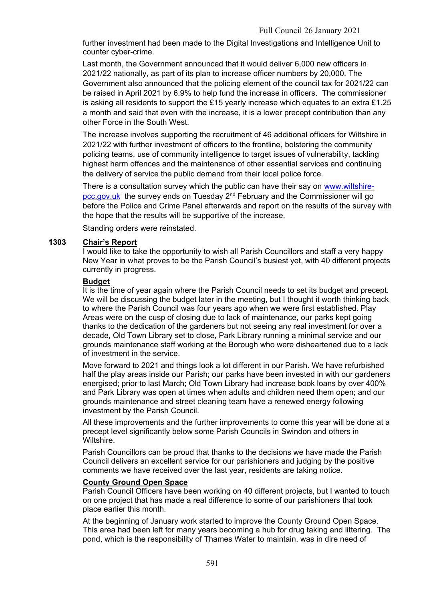further investment had been made to the Digital Investigations and Intelligence Unit to counter cyber-crime.

Last month, the Government announced that it would deliver 6,000 new officers in 2021/22 nationally, as part of its plan to increase officer numbers by 20,000. The Government also announced that the policing element of the council tax for 2021/22 can be raised in April 2021 by 6.9% to help fund the increase in officers. The commissioner is asking all residents to support the £15 yearly increase which equates to an extra £1.25 a month and said that even with the increase, it is a lower precept contribution than any other Force in the South West.

The increase involves supporting the recruitment of 46 additional officers for Wiltshire in 2021/22 with further investment of officers to the frontline, bolstering the community policing teams, use of community intelligence to target issues of vulnerability, tackling highest harm offences and the maintenance of other essential services and continuing the delivery of service the public demand from their local police force.

There is a consultation survey which the public can have their say on [www.wiltshire](http://www.wiltshire-pcc.gov.uk/)[pcc.gov.uk](http://www.wiltshire-pcc.gov.uk/) the survey ends on Tuesday 2nd February and the Commissioner will go before the Police and Crime Panel afterwards and report on the results of the survey with the hope that the results will be supportive of the increase.

Standing orders were reinstated.

## **1303 Chair's Report**

I would like to take the opportunity to wish all Parish Councillors and staff a very happy New Year in what proves to be the Parish Council's busiest yet, with 40 different projects currently in progress.

## **Budget**

It is the time of year again where the Parish Council needs to set its budget and precept. We will be discussing the budget later in the meeting, but I thought it worth thinking back to where the Parish Council was four years ago when we were first established. Play Areas were on the cusp of closing due to lack of maintenance, our parks kept going thanks to the dedication of the gardeners but not seeing any real investment for over a decade, Old Town Library set to close, Park Library running a minimal service and our grounds maintenance staff working at the Borough who were disheartened due to a lack of investment in the service.

Move forward to 2021 and things look a lot different in our Parish. We have refurbished half the play areas inside our Parish; our parks have been invested in with our gardeners energised; prior to last March; Old Town Library had increase book loans by over 400% and Park Library was open at times when adults and children need them open; and our grounds maintenance and street cleaning team have a renewed energy following investment by the Parish Council.

All these improvements and the further improvements to come this year will be done at a precept level significantly below some Parish Councils in Swindon and others in Wiltshire.

Parish Councillors can be proud that thanks to the decisions we have made the Parish Council delivers an excellent service for our parishioners and judging by the positive comments we have received over the last year, residents are taking notice.

## **County Ground Open Space**

Parish Council Officers have been working on 40 different projects, but I wanted to touch on one project that has made a real difference to some of our parishioners that took place earlier this month.

At the beginning of January work started to improve the County Ground Open Space. This area had been left for many years becoming a hub for drug taking and littering. The pond, which is the responsibility of Thames Water to maintain, was in dire need of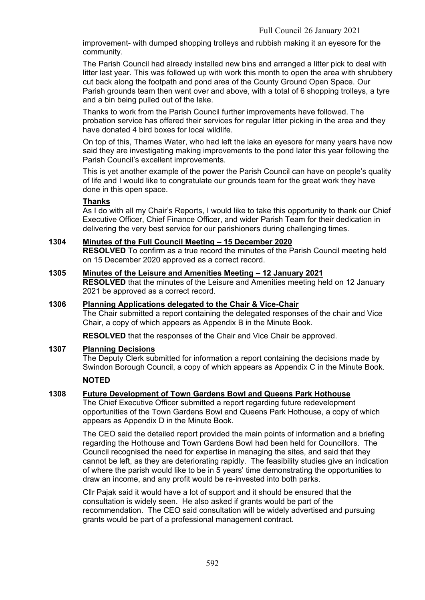improvement- with dumped shopping trolleys and rubbish making it an eyesore for the community.

The Parish Council had already installed new bins and arranged a litter pick to deal with litter last year. This was followed up with work this month to open the area with shrubbery cut back along the footpath and pond area of the County Ground Open Space. Our Parish grounds team then went over and above, with a total of 6 shopping trolleys, a tyre and a bin being pulled out of the lake.

Thanks to work from the Parish Council further improvements have followed. The probation service has offered their services for regular litter picking in the area and they have donated 4 bird boxes for local wildlife.

On top of this, Thames Water, who had left the lake an eyesore for many years have now said they are investigating making improvements to the pond later this year following the Parish Council's excellent improvements.

This is yet another example of the power the Parish Council can have on people's quality of life and I would like to congratulate our grounds team for the great work they have done in this open space.

# **Thanks**

As I do with all my Chair's Reports, I would like to take this opportunity to thank our Chief Executive Officer, Chief Finance Officer, and wider Parish Team for their dedication in delivering the very best service for our parishioners during challenging times.

# **1304 Minutes of the Full Council Meeting – 15 December 2020**

**RESOLVED** To confirm as a true record the minutes of the Parish Council meeting held on 15 December 2020 approved as a correct record.

## **1305 Minutes of the Leisure and Amenities Meeting – 12 January 2021**

**RESOLVED** that the minutes of the Leisure and Amenities meeting held on 12 January 2021 be approved as a correct record.

## **1306 Planning Applications delegated to the Chair & Vice-Chair**

The Chair submitted a report containing the delegated responses of the chair and Vice Chair, a copy of which appears as Appendix B in the Minute Book.

**RESOLVED** that the responses of the Chair and Vice Chair be approved.

# **1307 Planning Decisions**

The Deputy Clerk submitted for information a report containing the decisions made by Swindon Borough Council, a copy of which appears as Appendix C in the Minute Book.

# **NOTED**

## **1308 Future Development of Town Gardens Bowl and Queens Park Hothouse**

The Chief Executive Officer submitted a report regarding future redevelopment opportunities of the Town Gardens Bowl and Queens Park Hothouse, a copy of which appears as Appendix D in the Minute Book.

The CEO said the detailed report provided the main points of information and a briefing regarding the Hothouse and Town Gardens Bowl had been held for Councillors. The Council recognised the need for expertise in managing the sites, and said that they cannot be left, as they are deteriorating rapidly. The feasibility studies give an indication of where the parish would like to be in 5 years' time demonstrating the opportunities to draw an income, and any profit would be re-invested into both parks.

Cllr Pajak said it would have a lot of support and it should be ensured that the consultation is widely seen. He also asked if grants would be part of the recommendation. The CEO said consultation will be widely advertised and pursuing grants would be part of a professional management contract.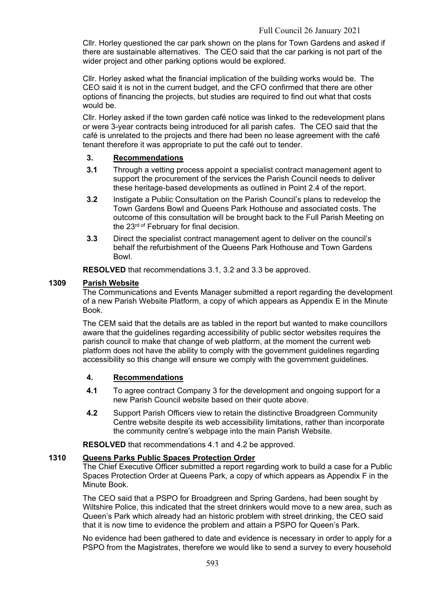Cllr. Horley questioned the car park shown on the plans for Town Gardens and asked if there are sustainable alternatives. The CEO said that the car parking is not part of the wider project and other parking options would be explored.

Cllr. Horley asked what the financial implication of the building works would be. The CEO said it is not in the current budget, and the CFO confirmed that there are other options of financing the projects, but studies are required to find out what that costs would be.

Cllr. Horley asked if the town garden café notice was linked to the redevelopment plans or were 3-year contracts being introduced for all parish cafes. The CEO said that the café is unrelated to the projects and there had been no lease agreement with the café tenant therefore it was appropriate to put the café out to tender.

# **3. Recommendations**

- **3.1** Through a vetting process appoint a specialist contract management agent to support the procurement of the services the Parish Council needs to deliver these heritage-based developments as outlined in Point 2.4 of the report.
- **3.2** Instigate a Public Consultation on the Parish Council's plans to redevelop the Town Gardens Bowl and Queens Park Hothouse and associated costs. The outcome of this consultation will be brought back to the Full Parish Meeting on the 23<sup>rd of</sup> February for final decision.
- **3.3** Direct the specialist contract management agent to deliver on the council's behalf the refurbishment of the Queens Park Hothouse and Town Gardens Bowl.

**RESOLVED** that recommendations 3.1, 3.2 and 3.3 be approved.

# **1309 Parish Website**

The Communications and Events Manager submitted a report regarding the development of a new Parish Website Platform, a copy of which appears as Appendix E in the Minute Book.

The CEM said that the details are as tabled in the report but wanted to make councillors aware that the guidelines regarding accessibility of public sector websites requires the parish council to make that change of web platform, at the moment the current web platform does not have the ability to comply with the government guidelines regarding accessibility so this change will ensure we comply with the government guidelines.

# **4. Recommendations**

- **4.1** To agree contract Company 3 for the development and ongoing support for a new Parish Council website based on their quote above.
- **4.2** Support Parish Officers view to retain the distinctive Broadgreen Community Centre website despite its web accessibility limitations, rather than incorporate the community centre's webpage into the main Parish Website.

**RESOLVED** that recommendations 4.1 and 4.2 be approved.

# **1310 Queens Parks Public Spaces Protection Order**

The Chief Executive Officer submitted a report regarding work to build a case for a Public Spaces Protection Order at Queens Park, a copy of which appears as Appendix F in the Minute Book.

The CEO said that a PSPO for Broadgreen and Spring Gardens, had been sought by Wiltshire Police, this indicated that the street drinkers would move to a new area, such as Queen's Park which already had an historic problem with street drinking, the CEO said that it is now time to evidence the problem and attain a PSPO for Queen's Park.

No evidence had been gathered to date and evidence is necessary in order to apply for a PSPO from the Magistrates, therefore we would like to send a survey to every household